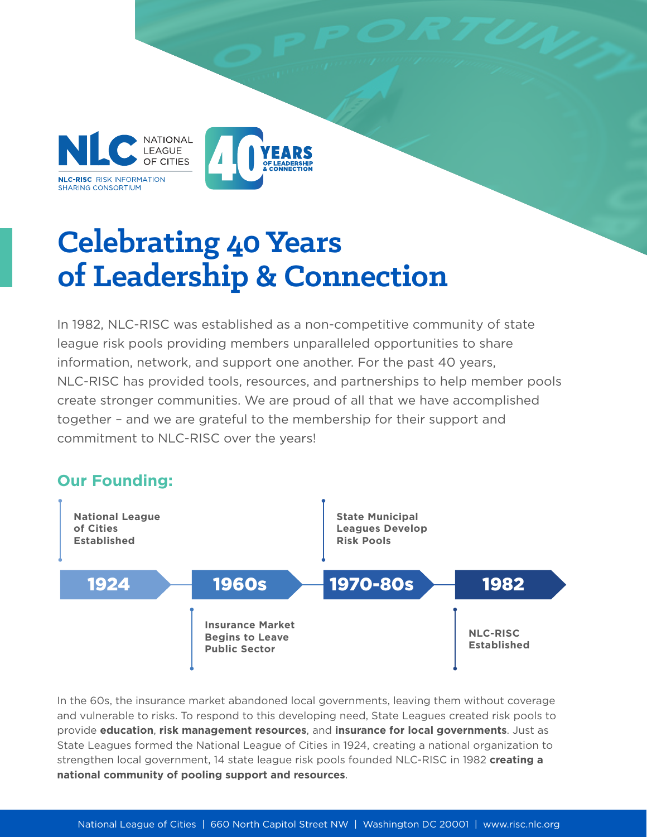



## **Celebrating 40 Years of Leadership & Connection**

In 1982, NLC-RISC was established as a non-competitive community of state league risk pools providing members unparalleled opportunities to share information, network, and support one another. For the past 40 years, NLC-RISC has provided tools, resources, and partnerships to help member pools create stronger communities. We are proud of all that we have accomplished together – and we are grateful to the membership for their support and commitment to NLC-RISC over the years!



In the 60s, the insurance market abandoned local governments, leaving them without coverage and vulnerable to risks. To respond to this developing need, State Leagues created risk pools to provide **education**, **risk management resources**, and **insurance for local governments**. Just as State Leagues formed the National League of Cities in 1924, creating a national organization to strengthen local government, 14 state league risk pools founded NLC-RISC in 1982 **creating a national community of pooling support and resources**.